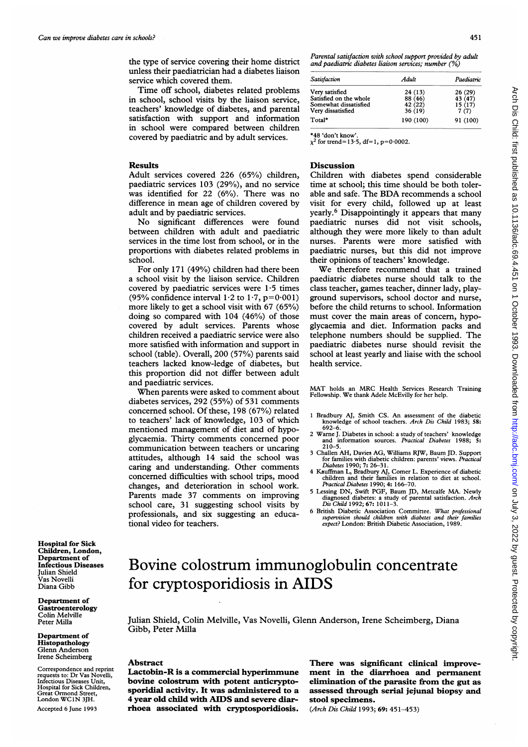the type of service covering their home district unless their paediatrician had a diabetes liaison service which covered them.

Time off school, diabetes related problems in school, school visits by the liaison service, teachers' knowledge of diabetes, and parental satisfaction with support and information in school were compared between children covered by paediatric and by adult services.

#### Results

Adult services covered 226 (65%) children, paediatric services 103 (29%), and no service was identified for 22 (6%). There was no difference in mean age of children covered by adult and by paediatric services.

No significant differences were found between children with adult and paediatric services in the time lost from school, or in the proportions with diabetes related problems in school.

For only 171 (49%) children had there been a school visit by the liaison service. Children covered by paediatric services were 1-5 times (95% confidence interval  $1.2$  to  $1.7$ ,  $p=0.001$ ) more likely to get a school visit with 67 (65%) doing so compared with 104 (46%) of those covered by adult services. Parents whose children received a paediatric service were also more satisfied with information and support in school (table). Overall, 200 (57%) parents said teachers lacked know-ledge of diabetes, but this proportion did not differ between adult and paediatric services.

When parents were asked to comment about diabetes services, 292 (55%) of 531 comments concerned school. Of these, 198 (67%) related to teachers' lack of knowledge, 103 of which mentioned management of diet and of hypoglycaemia. Thirty comments concerned poor communication between teachers or uncaring attitudes, although 14 said the school was caring and understanding. Other comments concerned difficulties with school trips, mood changes, and deterioration in school work. Parents made 37 comments on improving school care, 31 suggesting school visits by professionals, and six suggesting an educational video for teachers.

Parental satisfaction with school support provided by adult and paediatric diabetes liaison services; number  $(\%)$ 

| Adult     | Paediatric |
|-----------|------------|
| 24 (13)   | 26 (29)    |
|           | 43 (47)    |
| 42 (22)   | 15(17)     |
| 36 (19)   | 7(7)       |
| 190 (100) | 91 (100)   |
|           | 88 (46)    |

\*48 'don't know'.<br> $\chi^2$  for trend=13.5, df=1, p=0.0002.

# Discussion

Children with diabetes spend considerable time at school; this time should be both tolerable and safe. The BDA recommends <sup>a</sup> school visit for every child, followed up at least yearly.6 Disappointingly it appears that many paediatric nurses did not visit schools, although they were more likely to than adult nurses. Parents were more satisfied with paediatric nurses, but this did not improve their opinions of teachers' knowledge.

We therefore recommend that <sup>a</sup> trained paediatric diabetes nurse should talk to the class teacher, games teacher, dinner lady, playground supervisors, school doctor and nurse, before the child returns to school. Information must cover the main areas of concern, hypoglycaemia and diet. Information packs and telephone numbers should be supplied. The paediatric diabetes nurse should revisit the school at least yearly and liaise with the school health service.

MAT holds an MRC Health Services Research Training Fellowship. We thank Adele McEvilly for her help.

- <sup>1</sup> Bradbury AJ, Smith CS. An assessment of the diabetic knowledge of school teachers. Arch Dis Child 1983; 58: 692-6.
- 2 Warne J. Diabetes in school: a study of teachers' knowledge and information sources. *Practical Diabetes* 1988; 5: 210-5.
- <sup>3</sup> Challen AH, Davies AG, Williams RJW, Baum JD. Support for families with diabetic children: parents' views. Practical
- Diabetes 1990; 7: 26-31. 4 Kauffman L, Bradbury AJ, Comer L. Experience of diabetic
- children and their families in relation to diet at school.<br>Practical Diabetes 1990; 4: 166–70.<br>5 Lessing DN, Swift PGF, Baum JD, Metcalfe MA. Newly<br>diagnosed diabetes: a study of parental satisfaction. Arch Dis Child 1992; 67: 1011-3.
- 6 British Diabetic Association Committee. What professional supervision should children with diabetes and their families expect? London: British Diabetic Association, 1989.

Hospital for Sick Children, London, Department of Infectious Diseases Julian Shield Vas Novelli Diana Gibb

Department of Gastroenterology Colin Melville Peter Milla

Department of Histopathology Glenn Anderson Irene Scheimberg

Correspondence and reprint requests to: Dr Vas Novelli, Infectious Diseases Unit, Hospital for Sick Children, Great Ormond Str London WC1N 3JH.

Accepted 6 June 1993

Bovine colostrum immunoglobulin concentrate for cryptosporidiosis in AIDS

Julian Shield, Colin Melville, Vas Novelli, Glenn Anderson, Irene Scheimberg, Diana Gibb, Peter Milla

# Abstract

Lactobin-R is a commercial hyperimmune bovine colostrum with potent anticryptosporidial activity. It was administered to a 4 year old child with AIDS and severe diarrhoea associated with cryptosporidiosis.

There was significant clinical improvement in the diarrhoea and permanent elimination of the parasite from the gut as assessed through serial jejunal biopsy and stool specimens.

(Arch Dis Child 1993; 69: 451-453)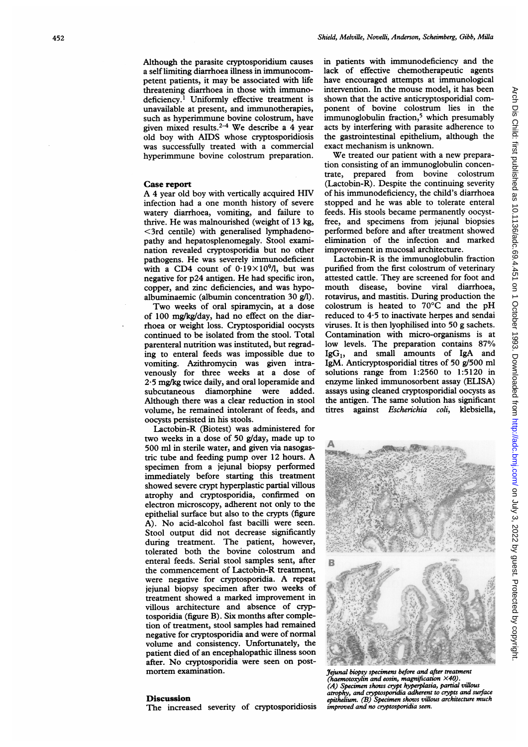Although the parasite cryptosporidium causes a self limiting diarrhoea illness in immunocompetent patients, it may be associated with life threatening diarrhoea in those with immunodeficiency.' Uniformly effective treatment is unavailable at present, and immunotherapies, such as hyperimmune bovine colostrum, have given mixed results.<sup>2-4</sup> We describe a 4 year old boy with AIDS whose cryptosporidiosis was successfully treated with a commercial hyperimmune bovine colostrum preparation.

Case report<br>A 4 year old boy with vertically acquired HIV infection had a one month history of severe watery diarrhoea, vomiting, and failure to thrive. He was malnourished (weight of 13 kg, <3rd centile) with generalised lymphadenopathy and hepatosplenomegaly. Stool examination revealed cryptosporidia but no other pathogens. He was severely immunodeficient with a CD4 count of  $0.19 \times 10^{9}$ /l, but was negative for p24 antigen. He had specific iron, copper, and zinc deficiencies, and was hypoalbuminaemic (albumin concentration 30 g/l).

Two weeks of oral spiramycin, at a dose of 100 mg/kg/day, had no effect on the diarrhoea or weight loss. Cryptosporidial oocysts continued to be isolated from the stool. Total parenteral nutrition was instituted, but regrading to enteral feeds was impossible due to vomiting. Azithromycin was given intravenously for three weeks at a dose of 2 5 mg/kg twice daily, and oral loperamide and subcutaneous diamorphine were added. Although there was a clear reduction in stool volume, he remained intolerant of feeds, and oocysts persisted in his stools.

Lactobin-R (Biotest) was administered for two weeks in a dose of 50 g/day, made up to 500 ml in sterile water, and given via nasogastric tube and feeding pump over <sup>12</sup> hours. A specimen from a jejunal biopsy performed immediately before starting this treatment showed severe crypt hyperplastic partial villous atrophy and cryptosporidia, confirmed on electron microscopy, adherent not only to the epithelial surface but also to the crypts (figure A). No acid-alcohol fast bacilli were seen. Stool output did not decrease significantly during treatment. The patient, however, tolerated both the bovine colostrum and enteral feeds. Serial stool samples sent, after the commencement of Lactobin-R treatment, were negative for cryptosporidia. A repeat jejunal biopsy specimen after two weeks of treatment showed a marked improvement in villous architecture and absence of cryptosporidia (figure B). Six months after completion of treatment, stool samples had remained negative for cryptosporidia and were of normal volume and consistency. Unfortunately, the patient died of an encephalopathic illness soon after. No cryptosporidia were seen on postmortem examination.

#### **Discussion**

The increased severity of cryptosporidiosis

in patients with immunodeficiency and the lack of effective chemotherapeutic agents have encouraged attempts at immunological intervention. In the mouse model, it has been shown that the active anticryptosporidial component of bovine colostrum lies in the immunoglobulin fraction,<sup>5</sup> which presumably acts by interfering with parasite adherence to the gastrointestinal epithelium, although the exact mechanism is unknown.

We treated our patient with a new preparation consisting of an immunoglobulin concentrate, prepared from bovine colostrum (Lactobin-R). Despite the continuing severity of his immunodeficiency, the child's diarrhoea stopped and he was able to tolerate enteral feeds. His stools became permanently oocystfree, and specimens from jejunal biopsies performed before and after treatment showed elimination of the infection and marked improvement in mucosal architecture.

Lactobin-R is the immunoglobulin fraction purified from the first colostrum of veterinary attested cattle. They are screened for foot and mouth disease, bovine viral diarrhoea, rotavirus, and mastitis. During production the colostrum is heated to 70°C and the pH reduced to 4-5 to inactivate herpes and sendai viruses. It is then lyophilised into 50 g sachets. Contamination with micro-organisms is at low levels. The preparation contains 87%  $IgG<sub>1</sub>$ , and small amounts of IgA and IgM. Anticryptosporidial titres of 50 g/500 ml solutions range from 1:2560 to 1:5120 in enzyme linked immunosorbent assay (ELISA) assays using cleaned cryptosporidial oocysts as the antigen. The same solution has significant titres against Escherichia coli, klebsiella,



Jejunal biopsy specimens before and after treatment (haemotoxylin and eosin, magnification ×40).<br>(A) Specimen shows crypt hyperplasia, partial villous atrophy, and cryptosporidia adherent to crypts and surface epithelium. (B) Specimen shows villous architecture much improved and no cryptosporidia seen.

Arch Dis Child: first published as 10.1136/adc.69.4.451 on 1 October 1993. Downloaded from http://adc.bmj.com/ on July 3, 2022 by guest. Protected by copyright Arch Dis Child: first published as 10.1136/adc.69.4.451 on 1 October 1993. Downloaded from <http://adc.bmj.com/> on July 3, 2022 by guest. Protected by copyright.